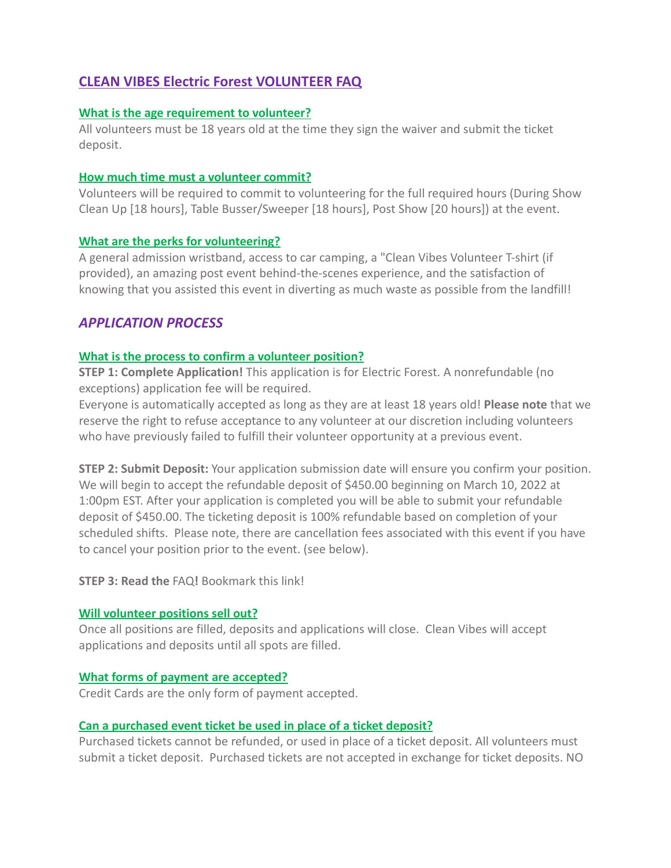# **CLEAN VIBES Electric Forest VOLUNTEER FAQ**

#### **What is the age requirement to volunteer?**

All volunteers must be 18 years old at the time they sign the waiver and submit the ticket deposit.

#### **How much time must a volunteer commit?**

Volunteers will be required to commit to volunteering for the full required hours (During Show Clean Up [18 hours], Table Busser/Sweeper [18 hours], Post Show [20 hours]) at the event.

#### **What are the perks for volunteering?**

A general admission wristband, access to car camping, a "Clean Vibes Volunteer T-shirt (if provided), an amazing post event behind-the-scenes experience, and the satisfaction of knowing that you assisted this event in diverting as much waste as possible from the landfill!

## *APPLICATION PROCESS*

### **What is the process to confirm a volunteer position?**

**STEP 1: Complete Application!** This application is for Electric Forest. A nonrefundable (no exceptions) application fee will be required.

Everyone is automatically accepted as long as they are at least 18 years old! **Please note** that we reserve the right to refuse acceptance to any volunteer at our discretion including volunteers who have previously failed to fulfill their volunteer opportunity at a previous event.

**STEP 2: Submit Deposit:** Your application submission date will ensure you confirm your position. We will begin to accept the refundable deposit of \$450.00 beginning on March 10, 2022 at 1:00pm EST. After your application is completed you will be able to submit your refundable deposit of \$450.00. The ticketing deposit is 100% refundable based on completion of your scheduled shifts. Please note, there are cancellation fees associated with this event if you have to cancel your position prior to the event. (see below).

**STEP 3: Read the** FAQ**!** Bookmark this link!

### **Will volunteer positions sell out?**

Once all positions are filled, deposits and applications will close. Clean Vibes will accept applications and deposits until all spots are filled.

### **What forms of payment are accepted?**

Credit Cards are the only form of payment accepted.

### **Can a purchased event ticket be used in place of a ticket deposit?**

Purchased tickets cannot be refunded, or used in place of a ticket deposit. All volunteers must submit a ticket deposit. Purchased tickets are not accepted in exchange for ticket deposits. NO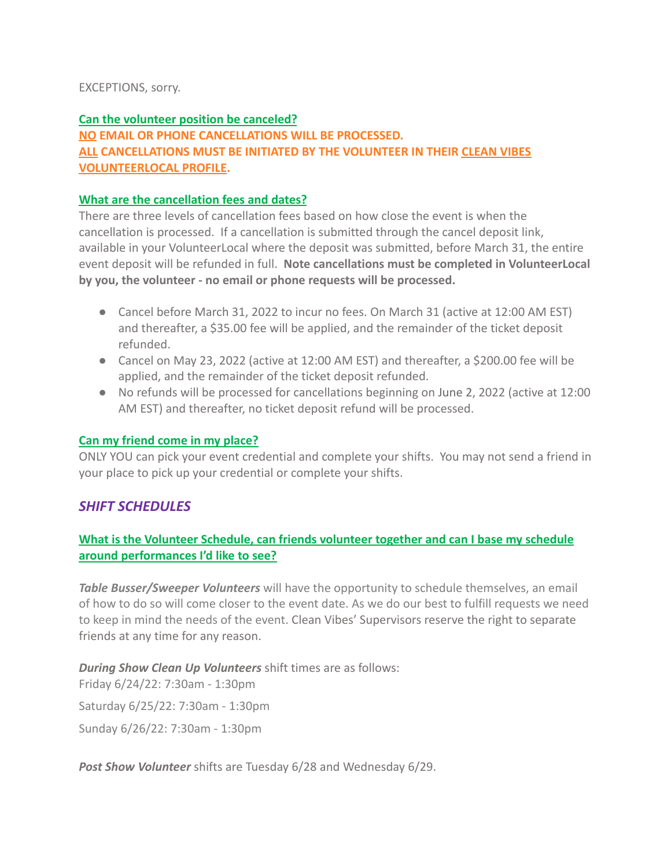### EXCEPTIONS, sorry.

## **Can the volunteer position be canceled? NO EMAIL OR PHONE CANCELLATIONS WILL BE PROCESSED. ALL CANCELLATIONS MUST BE INITIATED BY THE VOLUNTEER IN THEIR CLEAN VIBES VOLUNTEERLOCAL PROFILE.**

### **What are the cancellation fees and dates?**

There are three levels of cancellation fees based on how close the event is when the cancellation is processed. If a cancellation is submitted through the cancel deposit link, available in your VolunteerLocal where the deposit was submitted, before March 31, the entire event deposit will be refunded in full. **Note cancellations must be completed in VolunteerLocal by you, the volunteer - no email or phone requests will be processed.**

- Cancel before March 31, 2022 to incur no fees. On March 31 (active at 12:00 AM EST) and thereafter, a \$35.00 fee will be applied, and the remainder of the ticket deposit refunded.
- Cancel on May 23, 2022 (active at 12:00 AM EST) and thereafter, a \$200.00 fee will be applied, and the remainder of the ticket deposit refunded.
- No refunds will be processed for cancellations beginning on June 2, 2022 (active at 12:00 AM EST) and thereafter, no ticket deposit refund will be processed.

### **Can my friend come in my place?**

ONLY YOU can pick your event credential and complete your shifts. You may not send a friend in your place to pick up your credential or complete your shifts.

## *SHIFT SCHEDULES*

## **What is the Volunteer Schedule, can friends volunteer together and can I base my schedule around performances I'd like to see?**

*Table Busser/Sweeper Volunteers* will have the opportunity to schedule themselves, an email of how to do so will come closer to the event date. As we do our best to fulfill requests we need to keep in mind the needs of the event. Clean Vibes' Supervisors reserve the right to separate friends at any time for any reason.

*During Show Clean Up Volunteers* shift times are as follows:

Friday 6/24/22: 7:30am - 1:30pm

Saturday 6/25/22: 7:30am - 1:30pm

Sunday 6/26/22: 7:30am - 1:30pm

*Post Show Volunteer* shifts are Tuesday 6/28 and Wednesday 6/29.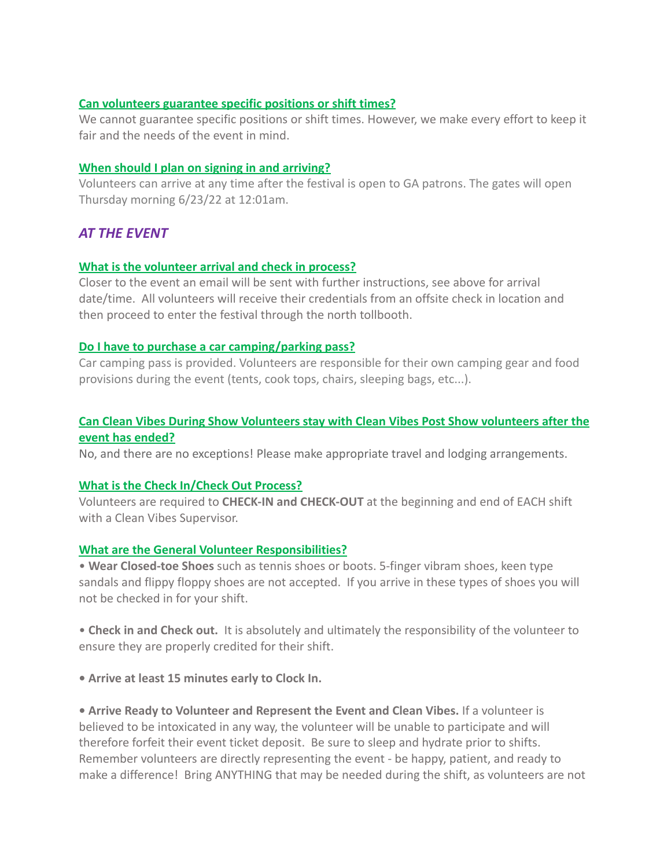#### **Can volunteers guarantee specific positions or shift times?**

We cannot guarantee specific positions or shift times. However, we make every effort to keep it fair and the needs of the event in mind.

#### **When should I plan on signing in and arriving?**

Volunteers can arrive at any time after the festival is open to GA patrons. The gates will open Thursday morning 6/23/22 at 12:01am.

## *AT THE EVENT*

### **What is the volunteer arrival and check in process?**

Closer to the event an email will be sent with further instructions, see above for arrival date/time. All volunteers will receive their credentials from an offsite check in location and then proceed to enter the festival through the north tollbooth.

#### **Do I have to purchase a car camping/parking pass?**

Car camping pass is provided. Volunteers are responsible for their own camping gear and food provisions during the event (tents, cook tops, chairs, sleeping bags, etc...).

### **Can Clean Vibes During Show Volunteers stay with Clean Vibes Post Show volunteers after the event has ended?**

No, and there are no exceptions! Please make appropriate travel and lodging arrangements.

### **What is the Check In/Check Out Process?**

Volunteers are required to **CHECK-IN and CHECK-OUT** at the beginning and end of EACH shift with a Clean Vibes Supervisor.

#### **What are the General Volunteer Responsibilities?**

• **Wear Closed-toe Shoes** such as tennis shoes or boots. 5-finger vibram shoes, keen type sandals and flippy floppy shoes are not accepted. If you arrive in these types of shoes you will not be checked in for your shift.

• **Check in and Check out.** It is absolutely and ultimately the responsibility of the volunteer to ensure they are properly credited for their shift.

**• Arrive at least 15 minutes early to Clock In.**

**• Arrive Ready to Volunteer and Represent the Event and Clean Vibes.** If a volunteer is believed to be intoxicated in any way, the volunteer will be unable to participate and will therefore forfeit their event ticket deposit. Be sure to sleep and hydrate prior to shifts. Remember volunteers are directly representing the event - be happy, patient, and ready to make a difference! Bring ANYTHING that may be needed during the shift, as volunteers are not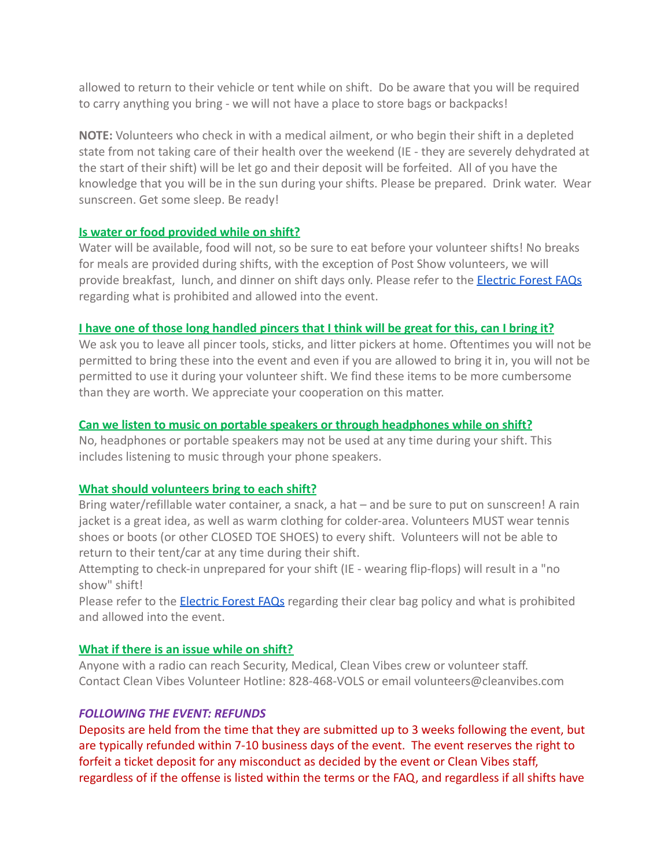allowed to return to their vehicle or tent while on shift. Do be aware that you will be required to carry anything you bring - we will not have a place to store bags or backpacks!

**NOTE:** Volunteers who check in with a medical ailment, or who begin their shift in a depleted state from not taking care of their health over the weekend (IE - they are severely dehydrated at the start of their shift) will be let go and their deposit will be forfeited. All of you have the knowledge that you will be in the sun during your shifts. Please be prepared. Drink water. Wear sunscreen. Get some sleep. Be ready!

### **Is water or food provided while on shift?**

Water will be available, food will not, so be sure to eat before your volunteer shifts! No breaks for meals are provided during shifts, with the exception of Post Show volunteers, we will provide breakfast, lunch, and dinner on shift days only. Please refer to the **[Electric Forest FAQs](https://electricforestfestival.com/2022-info/faq/)** regarding what is prohibited and allowed into the event.

### **I have one of those long handled pincers that I think will be great for this, can I bring it?**

We ask you to leave all pincer tools, sticks, and litter pickers at home. Oftentimes you will not be permitted to bring these into the event and even if you are allowed to bring it in, you will not be permitted to use it during your volunteer shift. We find these items to be more cumbersome than they are worth. We appreciate your cooperation on this matter.

### **Can we listen to music on portable speakers or through headphones while on shift?**

No, headphones or portable speakers may not be used at any time during your shift. This includes listening to music through your phone speakers.

### **What should volunteers bring to each shift?**

Bring water/refillable water container, a snack, a hat – and be sure to put on sunscreen! A rain jacket is a great idea, as well as warm clothing for colder-area. Volunteers MUST wear tennis shoes or boots (or other CLOSED TOE SHOES) to every shift. Volunteers will not be able to return to their tent/car at any time during their shift.

Attempting to check-in unprepared for your shift (IE - wearing flip-flops) will result in a "no show" shift!

Please refer to the **[Electric Forest FAQs](https://electricforestfestival.com/2022-info/faq/)** regarding their clear bag policy and what is prohibited and allowed into the event.

### **What if there is an issue while on shift?**

Anyone with a radio can reach Security, Medical, Clean Vibes crew or volunteer staff. Contact Clean Vibes Volunteer Hotline: 828-468-VOLS or email volunteers@cleanvibes.com

## *FOLLOWING THE EVENT: REFUNDS*

Deposits are held from the time that they are submitted up to 3 weeks following the event, but are typically refunded within 7-10 business days of the event. The event reserves the right to forfeit a ticket deposit for any misconduct as decided by the event or Clean Vibes staff, regardless of if the offense is listed within the terms or the FAQ, and regardless if all shifts have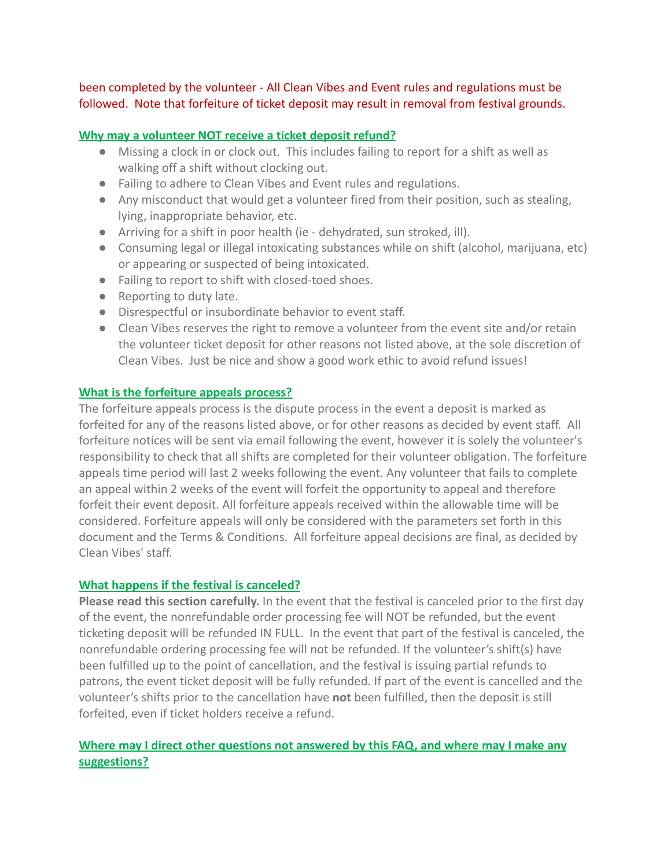been completed by the volunteer - All Clean Vibes and Event rules and regulations must be followed. Note that forfeiture of ticket deposit may result in removal from festival grounds.

#### **Why may a volunteer NOT receive a ticket deposit refund?**

- Missing a clock in or clock out. This includes failing to report for a shift as well as walking off a shift without clocking out.
- Failing to adhere to Clean Vibes and Event rules and regulations.
- Any misconduct that would get a volunteer fired from their position, such as stealing, lying, inappropriate behavior, etc.
- Arriving for a shift in poor health (ie dehydrated, sun stroked, ill).
- Consuming legal or illegal intoxicating substances while on shift (alcohol, marijuana, etc) or appearing or suspected of being intoxicated.
- Failing to report to shift with closed-toed shoes.
- Reporting to duty late.
- Disrespectful or insubordinate behavior to event staff.
- Clean Vibes reserves the right to remove a volunteer from the event site and/or retain the volunteer ticket deposit for other reasons not listed above, at the sole discretion of Clean Vibes. Just be nice and show a good work ethic to avoid refund issues!

#### **What is the forfeiture appeals process?**

The forfeiture appeals process is the dispute process in the event a deposit is marked as forfeited for any of the reasons listed above, or for other reasons as decided by event staff. All forfeiture notices will be sent via email following the event, however it is solely the volunteer's responsibility to check that all shifts are completed for their volunteer obligation. The forfeiture appeals time period will last 2 weeks following the event. Any volunteer that fails to complete an appeal within 2 weeks of the event will forfeit the opportunity to appeal and therefore forfeit their event deposit. All forfeiture appeals received within the allowable time will be considered. Forfeiture appeals will only be considered with the parameters set forth in this document and the Terms & Conditions. All forfeiture appeal decisions are final, as decided by Clean Vibes' staff.

### **What happens if the festival is canceled?**

**Please read this section carefully.** In the event that the festival is canceled prior to the first day of the event, the nonrefundable order processing fee will NOT be refunded, but the event ticketing deposit will be refunded IN FULL. In the event that part of the festival is canceled, the nonrefundable ordering processing fee will not be refunded. If the volunteer's shift(s) have been fulfilled up to the point of cancellation, and the festival is issuing partial refunds to patrons, the event ticket deposit will be fully refunded. If part of the event is cancelled and the volunteer's shifts prior to the cancellation have **not** been fulfilled, then the deposit is still forfeited, even if ticket holders receive a refund.

## **Where may I direct other questions not answered by this FAQ, and where may I make any suggestions?**